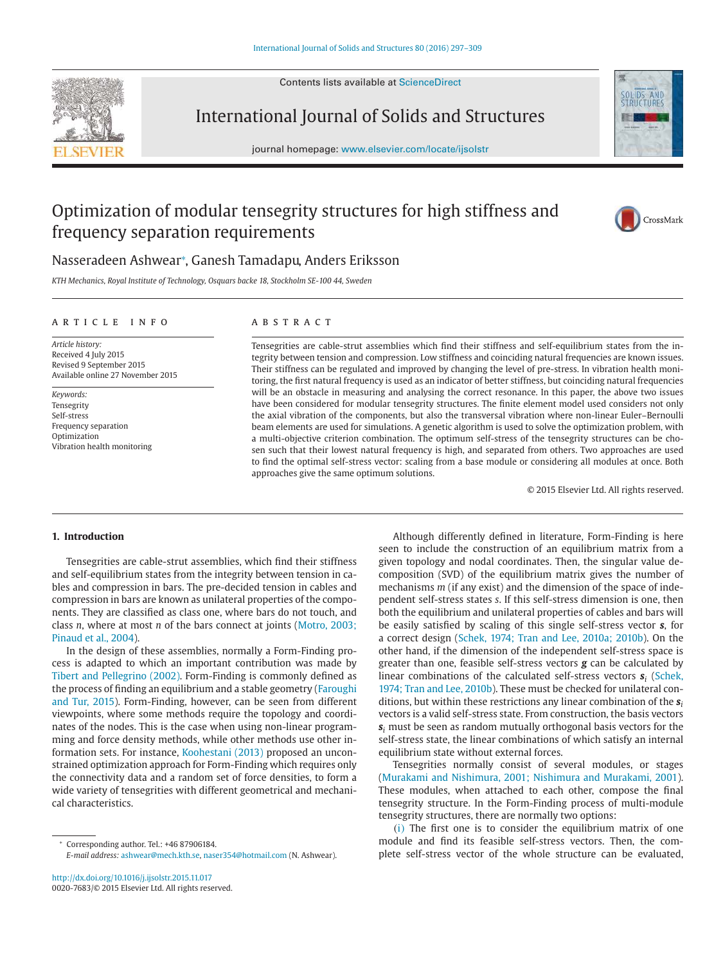Contents lists available at ScienceDirect





journal homepage: www.elsevier.com/locate/ijsolstr



# Optimization of modular tensegrity structures for high stiffness and frequency separation requirements



## Nasseradeen Ashwear<sup>∗</sup> , Ganesh Tamadapu, Anders Eriksson

*KTH Mechanics, Royal Institute of Technology, Osquars backe 18, Stockholm SE-100 44, Sweden*

#### article info

*Article history:* Received 4 July 2015 Revised 9 September 2015 Available online 27 November 2015

*Keywords:* **Tensegrity** Self-stress Frequency separation Optimization Vibration health monitoring

## **ABSTRACT**

Tensegrities are cable-strut assemblies which find their stiffness and self-equilibrium states from the integrity between tension and compression. Low stiffness and coinciding natural frequencies are known issues. Their stiffness can be regulated and improved by changing the level of pre-stress. In vibration health monitoring, the first natural frequency is used as an indicator of better stiffness, but coinciding natural frequencies will be an obstacle in measuring and analysing the correct resonance. In this paper, the above two issues have been considered for modular tensegrity structures. The finite element model used considers not only the axial vibration of the components, but also the transversal vibration where non-linear Euler–Bernoulli beam elements are used for simulations. A genetic algorithm is used to solve the optimization problem, with a multi-objective criterion combination. The optimum self-stress of the tensegrity structures can be chosen such that their lowest natural frequency is high, and separated from others. Two approaches are used to find the optimal self-stress vector: scaling from a base module or considering all modules at once. Both approaches give the same optimum solutions.

© 2015 Elsevier Ltd. All rights reserved.

## **1. Introduction**

Tensegrities are cable-strut assemblies, which find their stiffness and self-equilibrium states from the integrity between tension in cables and compression in bars. The pre-decided tension in cables and compression in bars are known as unilateral properties of the components. They are classified as class one, where bars do not touch, and class *n*, where at most *n* of the bars connect at joints (Motro, 2003; Pinaud et al., 2004).

In the design of these assemblies, normally a Form-Finding process is adapted to which an important contribution was made by Tibert and Pellegrino (2002). Form-Finding is commonly defined as the process of finding an equilibrium and a stable geometry (Faroughi and Tur, 2015). Form-Finding, however, can be seen from different viewpoints, where some methods require the topology and coordinates of the nodes. This is the case when using non-linear programming and force density methods, while other methods use other information sets. For instance, Koohestani (2013) proposed an unconstrained optimization approach for Form-Finding which requires only the connectivity data and a random set of force densities, to form a wide variety of tensegrities with different geometrical and mechanical characteristics.

*E-mail address:* ashwear@mech.kth.se, naser354@hotmail.com (N. Ashwear).

http://dx.doi.org/10.1016/j.ijsolstr.2015.11.017 0020-7683/© 2015 Elsevier Ltd. All rights reserved.

Although differently defined in literature, Form-Finding is here seen to include the construction of an equilibrium matrix from a given topology and nodal coordinates. Then, the singular value decomposition (SVD) of the equilibrium matrix gives the number of mechanisms *m* (if any exist) and the dimension of the space of independent self-stress states *s*. If this self-stress dimension is one, then both the equilibrium and unilateral properties of cables and bars will be easily satisfied by scaling of this single self-stress vector *s*, for a correct design (Schek, 1974; Tran and Lee, 2010a; 2010b). On the other hand, if the dimension of the independent self-stress space is greater than one, feasible self-stress vectors *g* can be calculated by linear combinations of the calculated self-stress vectors  $s_i$  (Schek, 1974; Tran and Lee, 2010b). These must be checked for unilateral conditions, but within these restrictions any linear combination of the *s<sup>i</sup>* vectors is a valid self-stress state. From construction, the basis vectors *s<sup>i</sup>* must be seen as random mutually orthogonal basis vectors for the self-stress state, the linear combinations of which satisfy an internal equilibrium state without external forces.

Tensegrities normally consist of several modules, or stages (Murakami and Nishimura, 2001; Nishimura and Murakami, 2001). These modules, when attached to each other, compose the final tensegrity structure. In the Form-Finding process of multi-module tensegrity structures, there are normally two options:

(i) The first one is to consider the equilibrium matrix of one module and find its feasible self-stress vectors. Then, the complete self-stress vector of the whole structure can be evaluated,

<sup>∗</sup> Corresponding author. Tel.: +46 87906184.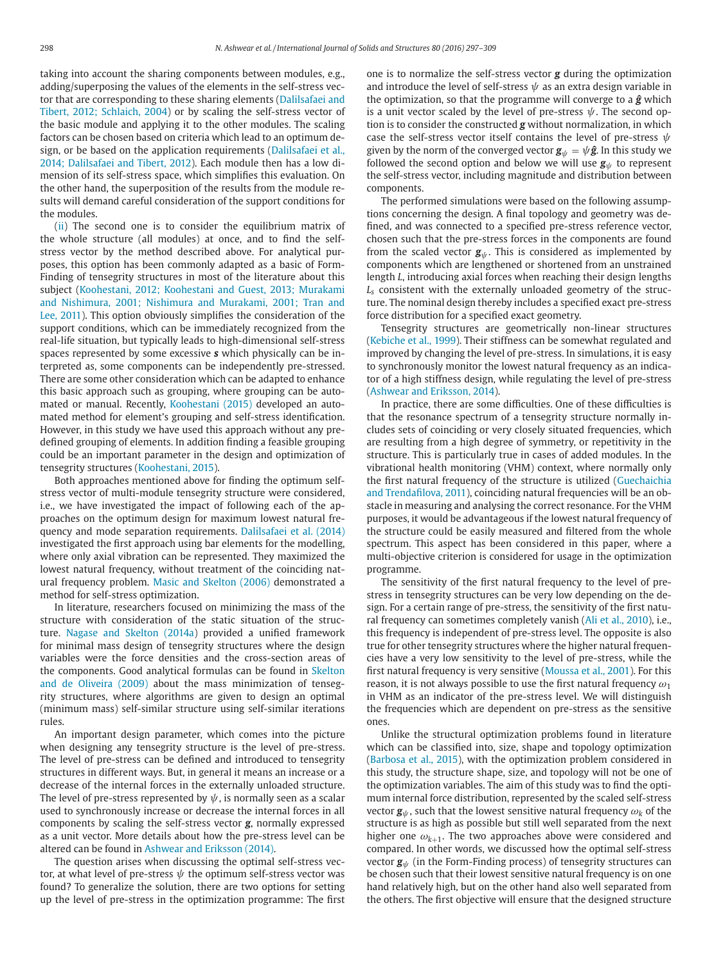taking into account the sharing components between modules, e.g., adding/superposing the values of the elements in the self-stress vector that are corresponding to these sharing elements (Dalilsafaei and Tibert, 2012; Schlaich, 2004) or by scaling the self-stress vector of the basic module and applying it to the other modules. The scaling factors can be chosen based on criteria which lead to an optimum design, or be based on the application requirements (Dalilsafaei et al., 2014; Dalilsafaei and Tibert, 2012). Each module then has a low dimension of its self-stress space, which simplifies this evaluation. On the other hand, the superposition of the results from the module results will demand careful consideration of the support conditions for the modules.

(ii) The second one is to consider the equilibrium matrix of the whole structure (all modules) at once, and to find the selfstress vector by the method described above. For analytical purposes, this option has been commonly adapted as a basic of Form-Finding of tensegrity structures in most of the literature about this subject (Koohestani, 2012; Koohestani and Guest, 2013; Murakami and Nishimura, 2001; Nishimura and Murakami, 2001; Tran and Lee, 2011). This option obviously simplifies the consideration of the support conditions, which can be immediately recognized from the real-life situation, but typically leads to high-dimensional self-stress spaces represented by some excessive *s* which physically can be interpreted as, some components can be independently pre-stressed. There are some other consideration which can be adapted to enhance this basic approach such as grouping, where grouping can be automated or manual. Recently, Koohestani (2015) developed an automated method for element's grouping and self-stress identification. However, in this study we have used this approach without any predefined grouping of elements. In addition finding a feasible grouping could be an important parameter in the design and optimization of tensegrity structures (Koohestani, 2015).

Both approaches mentioned above for finding the optimum selfstress vector of multi-module tensegrity structure were considered, i.e., we have investigated the impact of following each of the approaches on the optimum design for maximum lowest natural frequency and mode separation requirements. Dalilsafaei et al. (2014) investigated the first approach using bar elements for the modelling, where only axial vibration can be represented. They maximized the lowest natural frequency, without treatment of the coinciding natural frequency problem. Masic and Skelton (2006) demonstrated a method for self-stress optimization.

In literature, researchers focused on minimizing the mass of the structure with consideration of the static situation of the structure. Nagase and Skelton (2014a) provided a unified framework for minimal mass design of tensegrity structures where the design variables were the force densities and the cross-section areas of the components. Good analytical formulas can be found in Skelton and de Oliveira (2009) about the mass minimization of tensegrity structures, where algorithms are given to design an optimal (minimum mass) self-similar structure using self-similar iterations rules.

An important design parameter, which comes into the picture when designing any tensegrity structure is the level of pre-stress. The level of pre-stress can be defined and introduced to tensegrity structures in different ways. But, in general it means an increase or a decrease of the internal forces in the externally unloaded structure. The level of pre-stress represented by  $\psi$ , is normally seen as a scalar used to synchronously increase or decrease the internal forces in all components by scaling the self-stress vector *g*, normally expressed as a unit vector. More details about how the pre-stress level can be altered can be found in Ashwear and Eriksson (2014).

The question arises when discussing the optimal self-stress vector, at what level of pre-stress  $\psi$  the optimum self-stress vector was found? To generalize the solution, there are two options for setting up the level of pre-stress in the optimization programme: The first one is to normalize the self-stress vector *g* during the optimization and introduce the level of self-stress  $\psi$  as an extra design variable in the optimization, so that the programme will converge to a *g***ˆ** which is a unit vector scaled by the level of pre-stress  $\psi$ . The second option is to consider the constructed *g* without normalization, in which case the self-stress vector itself contains the level of pre-stress  $\psi$ given by the norm of the converged vector  $\mathbf{g}_{\psi} = \psi \hat{\mathbf{g}}$ . In this study we followed the second option and below we will use  $g_{\psi}$  to represent the self-stress vector, including magnitude and distribution between components.

The performed simulations were based on the following assumptions concerning the design. A final topology and geometry was defined, and was connected to a specified pre-stress reference vector, chosen such that the pre-stress forces in the components are found from the scaled vector  $g_{\psi}$ . This is considered as implemented by components which are lengthened or shortened from an unstrained length *L*, introducing axial forces when reaching their design lengths *L<sup>s</sup>* consistent with the externally unloaded geometry of the structure. The nominal design thereby includes a specified exact pre-stress force distribution for a specified exact geometry.

Tensegrity structures are geometrically non-linear structures (Kebiche et al., 1999). Their stiffness can be somewhat regulated and improved by changing the level of pre-stress. In simulations, it is easy to synchronously monitor the lowest natural frequency as an indicator of a high stiffness design, while regulating the level of pre-stress (Ashwear and Eriksson, 2014).

In practice, there are some difficulties. One of these difficulties is that the resonance spectrum of a tensegrity structure normally includes sets of coinciding or very closely situated frequencies, which are resulting from a high degree of symmetry, or repetitivity in the structure. This is particularly true in cases of added modules. In the vibrational health monitoring (VHM) context, where normally only the first natural frequency of the structure is utilized (Guechaichia and Trendafilova, 2011), coinciding natural frequencies will be an obstacle in measuring and analysing the correct resonance. For the VHM purposes, it would be advantageous if the lowest natural frequency of the structure could be easily measured and filtered from the whole spectrum. This aspect has been considered in this paper, where a multi-objective criterion is considered for usage in the optimization programme.

The sensitivity of the first natural frequency to the level of prestress in tensegrity structures can be very low depending on the design. For a certain range of pre-stress, the sensitivity of the first natural frequency can sometimes completely vanish (Ali et al., 2010), i.e., this frequency is independent of pre-stress level. The opposite is also true for other tensegrity structures where the higher natural frequencies have a very low sensitivity to the level of pre-stress, while the first natural frequency is very sensitive (Moussa et al., 2001). For this reason, it is not always possible to use the first natural frequency  $\omega_1$ in VHM as an indicator of the pre-stress level. We will distinguish the frequencies which are dependent on pre-stress as the sensitive ones.

Unlike the structural optimization problems found in literature which can be classified into, size, shape and topology optimization (Barbosa et al., 2015), with the optimization problem considered in this study, the structure shape, size, and topology will not be one of the optimization variables. The aim of this study was to find the optimum internal force distribution, represented by the scaled self-stress vector  $\mathbf{g}_{\psi}$ , such that the lowest sensitive natural frequency  $\omega_k$  of the structure is as high as possible but still well separated from the next higher one  $\omega_{k+1}$ . The two approaches above were considered and compared. In other words, we discussed how the optimal self-stress vector  $\mathbf{g}_{\psi}$  (in the Form-Finding process) of tensegrity structures can be chosen such that their lowest sensitive natural frequency is on one hand relatively high, but on the other hand also well separated from the others. The first objective will ensure that the designed structure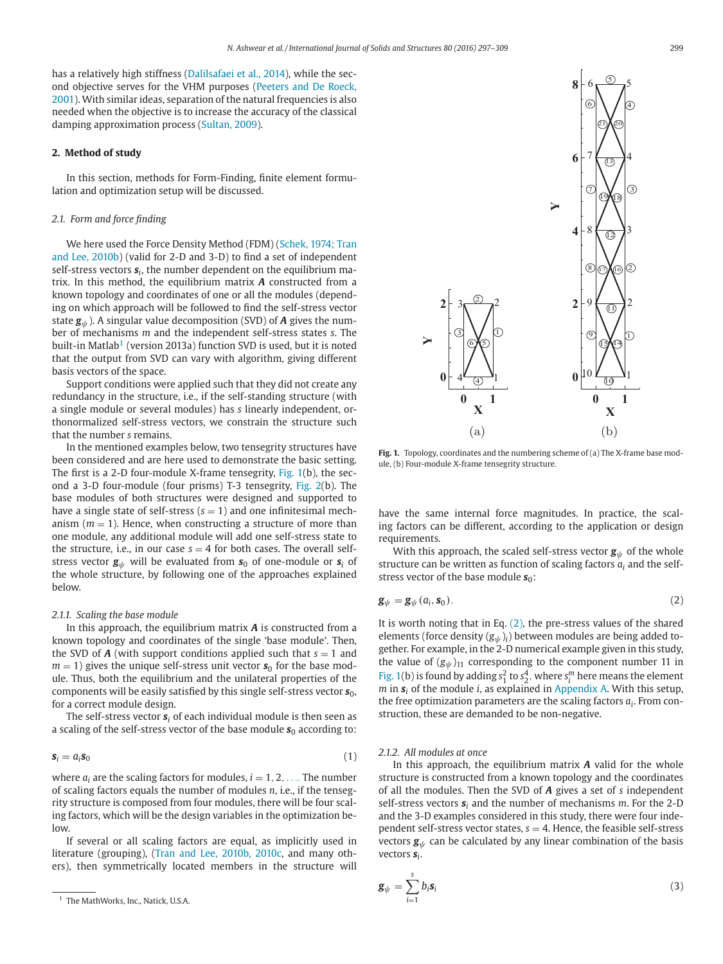has a relatively high stiffness (Dalilsafaei et al., 2014), while the second objective serves for the VHM purposes (Peeters and De Roeck, 2001). With similar ideas, separation of the natural frequencies is also needed when the objective is to increase the accuracy of the classical damping approximation process (Sultan, 2009).

## **2. Method of study**

In this section, methods for Form-Finding, finite element formulation and optimization setup will be discussed.

## *2.1. Form and force finding*

We here used the Force Density Method (FDM) (Schek, 1974; Tran and Lee, 2010b) (valid for 2-D and 3-D) to find a set of independent self-stress vectors *s<sup>i</sup>* , the number dependent on the equilibrium matrix. In this method, the equilibrium matrix *A* constructed from a known topology and coordinates of one or all the modules (depending on which approach will be followed to find the self-stress vector state  $g_{\psi}$ ). A singular value decomposition (SVD) of **A** gives the number of mechanisms *m* and the independent self-stress states *s*. The built-in Matlab<sup>1</sup> (version 2013a) function SVD is used, but it is noted that the output from SVD can vary with algorithm, giving different basis vectors of the space.

Support conditions were applied such that they did not create any redundancy in the structure, i.e., if the self-standing structure (with a single module or several modules) has *s* linearly independent, orthonormalized self-stress vectors, we constrain the structure such that the number *s* remains.

In the mentioned examples below, two tensegrity structures have been considered and are here used to demonstrate the basic setting. The first is a 2-D four-module X-frame tensegrity, Fig. 1(b), the second a 3-D four-module (four prisms) T-3 tensegrity, Fig. 2(b). The base modules of both structures were designed and supported to have a single state of self-stress  $(s = 1)$  and one infinitesimal mechanism  $(m = 1)$ . Hence, when constructing a structure of more than one module, any additional module will add one self-stress state to the structure, i.e., in our case  $s = 4$  for both cases. The overall selfstress vector  $\mathbf{g}_{\psi}$  will be evaluated from  $\mathbf{s}_0$  of one-module or  $\mathbf{s}_i$  of the whole structure, by following one of the approaches explained below.

#### *2.1.1. Scaling the base module*

In this approach, the equilibrium matrix *A* is constructed from a known topology and coordinates of the single 'base module'. Then, the SVD of  $A$  (with support conditions applied such that  $s = 1$  and  $m = 1$ ) gives the unique self-stress unit vector  $s<sub>0</sub>$  for the base module. Thus, both the equilibrium and the unilateral properties of the components will be easily satisfied by this single self-stress vector  $s_0$ , for a correct module design.

The self-stress vector *s<sup>i</sup>* of each individual module is then seen as a scaling of the self-stress vector of the base module  $s_0$  according to:

$$
\mathbf{s}_i = a_i \mathbf{s}_0 \tag{1}
$$

where  $a_i$  are the scaling factors for modules,  $i = 1, 2, \ldots$  The number of scaling factors equals the number of modules *n*, i.e., if the tensegrity structure is composed from four modules, there will be four scaling factors, which will be the design variables in the optimization below.

If several or all scaling factors are equal, as implicitly used in literature (grouping), (Tran and Lee, 2010b, 2010c, and many others), then symmetrically located members in the structure will



**Fig. 1.** Topology, coordinates and the numbering scheme of (a) The X-frame base module, (b) Four-module X-frame tensegrity structure.

have the same internal force magnitudes. In practice, the scaling factors can be different, according to the application or design requirements.

With this approach, the scaled self-stress vector  $g_{\psi}$  of the whole structure can be written as function of scaling factors  $a_i$  and the selfstress vector of the base module  $s_0$ :

$$
\mathbf{g}_{\psi} = \mathbf{g}_{\psi} (a_i, \mathbf{s}_0). \tag{2}
$$

It is worth noting that in Eq.  $(2)$ , the pre-stress values of the shared elements (force density  $(g_{\psi})_i$ ) between modules are being added together. For example, in the 2-D numerical example given in this study, the value of  $(g_{\psi})_{11}$  corresponding to the component number 11 in Fig. 1(b) is found by adding  $s_1^2$  to  $s_2^4$ , where  $s_i^m$  here means the element *m* in *s<sup>i</sup>* of the module *i*, as explained in Appendix A. With this setup, the free optimization parameters are the scaling factors *a<sup>i</sup>* . From construction, these are demanded to be non-negative.

## *2.1.2. All modules at once*

In this approach, the equilibrium matrix *A* valid for the whole structure is constructed from a known topology and the coordinates of all the modules. Then the SVD of *A* gives a set of *s* independent self-stress vectors *s<sup>i</sup>* and the number of mechanisms *m*. For the 2-D and the 3-D examples considered in this study, there were four independent self-stress vector states,  $s = 4$ . Hence, the feasible self-stress vectors  $g_{\psi}$  can be calculated by any linear combination of the basis vectors *s<sup>i</sup>* .

$$
\mathbf{g}_{\psi} = \sum_{i=1}^{s} b_i \mathbf{s}_i \tag{3}
$$

<sup>&</sup>lt;sup>1</sup> The MathWorks, Inc., Natick, U.S.A.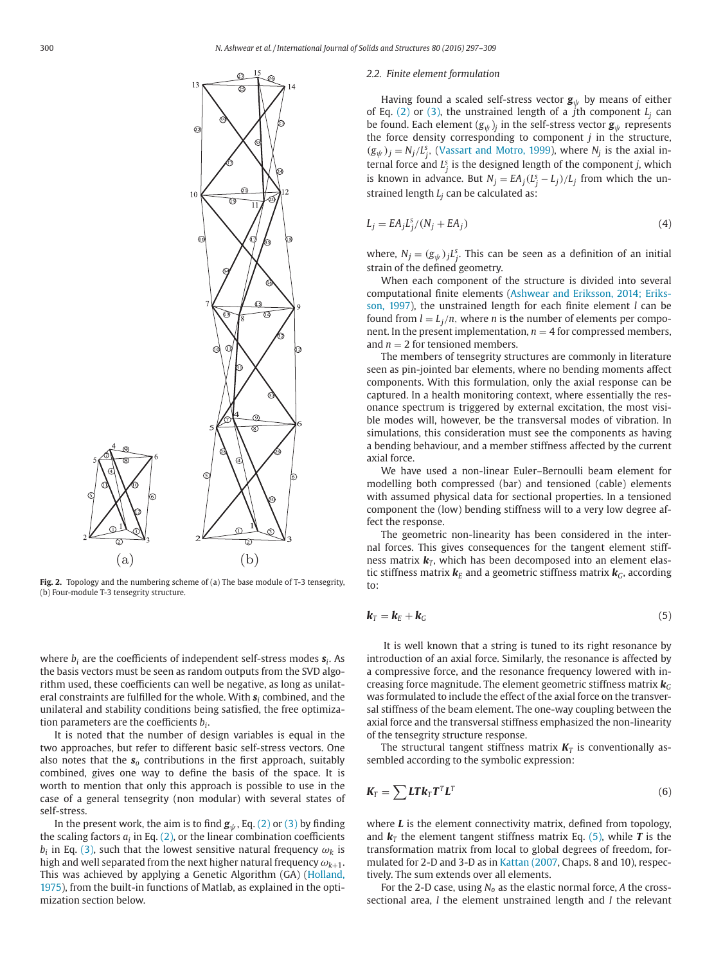

**Fig. 2.** Topology and the numbering scheme of (a) The base module of T-3 tensegrity, (b) Four-module T-3 tensegrity structure.

where *b<sup>i</sup>* are the coefficients of independent self-stress modes *s<sup>i</sup>* . As the basis vectors must be seen as random outputs from the SVD algorithm used, these coefficients can well be negative, as long as unilateral constraints are fulfilled for the whole. With *s<sup>i</sup>* combined, and the unilateral and stability conditions being satisfied, the free optimization parameters are the coefficients *b<sup>i</sup>* .

It is noted that the number of design variables is equal in the two approaches, but refer to different basic self-stress vectors. One also notes that the  $s_0$  contributions in the first approach, suitably combined, gives one way to define the basis of the space. It is worth to mention that only this approach is possible to use in the case of a general tensegrity (non modular) with several states of self-stress.

In the present work, the aim is to find  $g_{\psi}$ , Eq. (2) or (3) by finding the scaling factors  $a_i$  in Eq. (2), or the linear combination coefficients  $b_i$  in Eq. (3), such that the lowest sensitive natural frequency  $\omega_k$  is high and well separated from the next higher natural frequency  $\omega_{k+1}.$ This was achieved by applying a Genetic Algorithm (GA) (Holland, 1975), from the built-in functions of Matlab, as explained in the optimization section below.

#### *2.2. Finite element formulation*

Having found a scaled self-stress vector  $g_{\psi}$  by means of either of Eq. (2) or (3), the unstrained length of a *j*th component  $L_i$  can be found. Each element  $(g_{\psi})_j$  in the self-stress vector  $\mathbf{g}_{\psi}$  represents the force density corresponding to component *j* in the structure,  $(g_{\psi})_j = N_j / L_j^s$ , (Vassart and Motro, 1999), where  $N_j$  is the axial internal force and  $L_j^s$  is the designed length of the component *j*, which is known in advance. But  $N_j = EA_j(L_j - L_j)/L_j$  from which the unstrained length *L<sup>j</sup>* can be calculated as:

$$
L_j = EA_j L_j^s / (N_j + EA_j)
$$
\n(4)

where,  $N_j = (g_{\psi})_j L_j^s$ . This can be seen as a definition of an initial strain of the defined geometry.

When each component of the structure is divided into several computational finite elements (Ashwear and Eriksson, 2014; Eriksson, 1997), the unstrained length for each finite element *l* can be found from  $l = L_j/n$ , where *n* is the number of elements per component. In the present implementation,  $n = 4$  for compressed members, and  $n = 2$  for tensioned members.

The members of tensegrity structures are commonly in literature seen as pin-jointed bar elements, where no bending moments affect components. With this formulation, only the axial response can be captured. In a health monitoring context, where essentially the resonance spectrum is triggered by external excitation, the most visible modes will, however, be the transversal modes of vibration. In simulations, this consideration must see the components as having a bending behaviour, and a member stiffness affected by the current axial force.

We have used a non-linear Euler–Bernoulli beam element for modelling both compressed (bar) and tensioned (cable) elements with assumed physical data for sectional properties. In a tensioned component the (low) bending stiffness will to a very low degree affect the response.

The geometric non-linearity has been considered in the internal forces. This gives consequences for the tangent element stiffness matrix  $\mathbf{k}_T$ , which has been decomposed into an element elastic stiffness matrix  $\mathbf{k}_E$  and a geometric stiffness matrix  $\mathbf{k}_G$ , according to:

$$
\mathbf{k}_T = \mathbf{k}_E + \mathbf{k}_G \tag{5}
$$

It is well known that a string is tuned to its right resonance by introduction of an axial force. Similarly, the resonance is affected by a compressive force, and the resonance frequency lowered with increasing force magnitude. The element geometric stiffness matrix  $\mathbf{k}_G$ was formulated to include the effect of the axial force on the transversal stiffness of the beam element. The one-way coupling between the axial force and the transversal stiffness emphasized the non-linearity of the tensegrity structure response.

The structural tangent stiffness matrix  $K_T$  is conventionally assembled according to the symbolic expression:

$$
\mathbf{K}_{T} = \sum \mathbf{L} \mathbf{T} \mathbf{k}_{T} \mathbf{T}^{T} \mathbf{L}^{T}
$$
 (6)

where *L* is the element connectivity matrix, defined from topology, and  $\mathbf{k}_T$  the element tangent stiffness matrix Eq. (5), while **T** is the transformation matrix from local to global degrees of freedom, formulated for 2-D and 3-D as in Kattan (2007, Chaps. 8 and 10), respectively. The sum extends over all elements.

For the 2-D case, using *N<sup>o</sup>* as the elastic normal force, *A* the crosssectional area, *l* the element unstrained length and *I* the relevant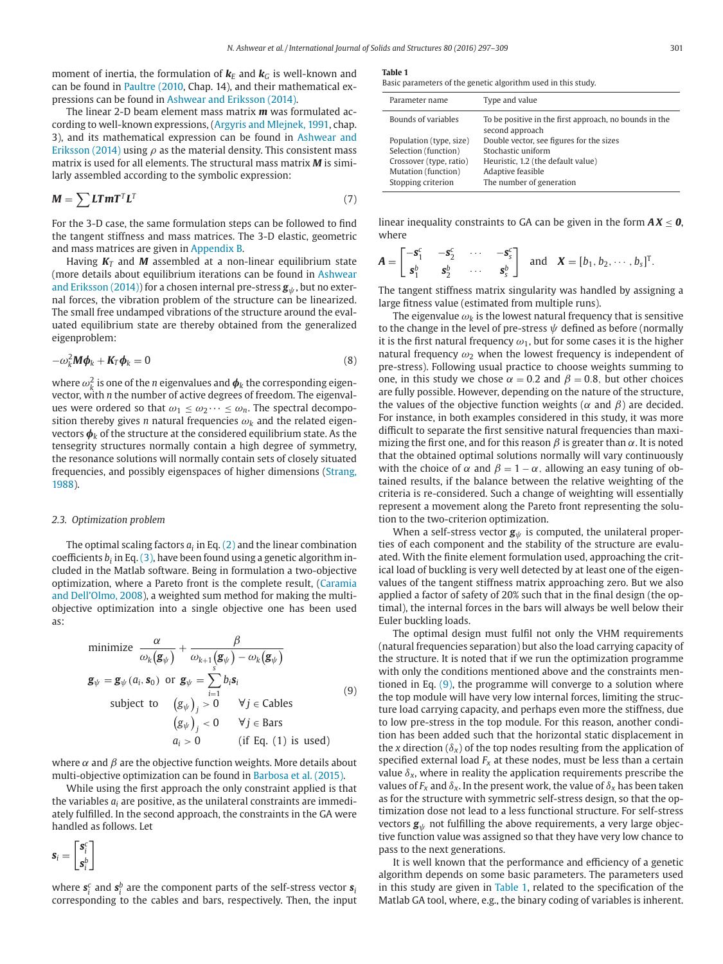moment of inertia, the formulation of  $\mathbf{k}_E$  and  $\mathbf{k}_C$  is well-known and can be found in Paultre (2010, Chap. 14), and their mathematical expressions can be found in Ashwear and Eriksson (2014).

The linear 2-D beam element mass matrix *m* was formulated according to well-known expressions, (Argyris and Mlejnek, 1991, chap. 3), and its mathematical expression can be found in Ashwear and Eriksson (2014) using  $\rho$  as the material density. This consistent mass matrix is used for all elements. The structural mass matrix *M* is similarly assembled according to the symbolic expression:

$$
M = \sum L T m T^{T} L^{T}
$$
 (7)

For the 3-D case, the same formulation steps can be followed to find the tangent stiffness and mass matrices. The 3-D elastic, geometric and mass matrices are given in Appendix B.

Having *K<sup>T</sup>* and *M* assembled at a non-linear equilibrium state (more details about equilibrium iterations can be found in Ashwear and Eriksson (2014)) for a chosen internal pre-stress  $g_{\psi}$ , but no external forces, the vibration problem of the structure can be linearized. The small free undamped vibrations of the structure around the evaluated equilibrium state are thereby obtained from the generalized eigenproblem:

$$
-\omega_k^2 \mathbf{M} \boldsymbol{\phi}_k + \mathbf{K}_T \boldsymbol{\phi}_k = 0 \tag{8}
$$

where  $\omega_k^2$  is one of the *n* eigenvalues and  $\pmb{\phi}_k$  the corresponding eigenvector, with *n* the number of active degrees of freedom. The eigenvalues were ordered so that  $\omega_1 \leq \omega_2 \cdots \leq \omega_n$ . The spectral decomposition thereby gives *n* natural frequencies  $\omega_k$  and the related eigenvectors  $\phi_k$  of the structure at the considered equilibrium state. As the tensegrity structures normally contain a high degree of symmetry, the resonance solutions will normally contain sets of closely situated frequencies, and possibly eigenspaces of higher dimensions (Strang, 1988).

#### *2.3. Optimization problem*

The optimal scaling factors  $a_i$  in Eq. (2) and the linear combination coefficients *b<sup>i</sup>* in Eq. (3), have been found using a genetic algorithm included in the Matlab software. Being in formulation a two-objective optimization, where a Pareto front is the complete result, (Caramia and Dell'Olmo, 2008), a weighted sum method for making the multiobjective optimization into a single objective one has been used as:

minimize 
$$
\frac{\alpha}{\omega_k(\mathbf{g}_{\psi})} + \frac{\beta}{\omega_{k+1}(\mathbf{g}_{\psi}) - \omega_k(\mathbf{g}_{\psi})}
$$
  
\n $\mathbf{g}_{\psi} = \mathbf{g}_{\psi}(a_i, \mathbf{s}_0)$  or  $\mathbf{g}_{\psi} = \sum_{i=1}^{s} b_i \mathbf{s}_i$   
\nsubject to  $(g_{\psi})_j > 0$   $\forall j \in \text{Cables}$   
\n $(g_{\psi})_j < 0$   $\forall j \in \text{Bars}$   
\n $a_i > 0$  (if Eq. (1) is used)

where  $\alpha$  and  $\beta$  are the objective function weights. More details about multi-objective optimization can be found in Barbosa et al. (2015).

While using the first approach the only constraint applied is that the variables  $a_i$  are positive, as the unilateral constraints are immediately fulfilled. In the second approach, the constraints in the GA were handled as follows. Let

$$
\bm{s}_i = \begin{bmatrix} \bm{s}_i^c \\ \bm{s}_i^b \end{bmatrix}
$$

where  $\boldsymbol{s}_{i}^c$  and  $\boldsymbol{s}_{i}^b$  are the component parts of the self-stress vector  $\boldsymbol{s}_{i}$ corresponding to the cables and bars, respectively. Then, the input

**Table 1**

Basic parameters of the genetic algorithm used in this study.

| Parameter name          | Type and value                                                            |
|-------------------------|---------------------------------------------------------------------------|
| Bounds of variables     | To be positive in the first approach, no bounds in the<br>second approach |
| Population (type, size) | Double vector, see figures for the sizes                                  |
| Selection (function)    | Stochastic uniform                                                        |
| Crossover (type, ratio) | Heuristic, 1.2 (the default value)                                        |
| Mutation (function)     | Adaptive feasible                                                         |
| Stopping criterion      | The number of generation                                                  |
|                         |                                                                           |

linear inequality constraints to GA can be given in the form  $AX < 0$ . where

$$
\boldsymbol{A} = \begin{bmatrix} -\mathbf{s}_1^c & -\mathbf{s}_2^c & \cdots & -\mathbf{s}_s^c \\ \mathbf{s}_1^b & \mathbf{s}_2^b & \cdots & \mathbf{s}_s^b \end{bmatrix} \text{ and } \boldsymbol{X} = [b_1, b_2, \cdots, b_s]^T.
$$

The tangent stiffness matrix singularity was handled by assigning a large fitness value (estimated from multiple runs).

The eigenvalue  $\omega_k$  is the lowest natural frequency that is sensitive to the change in the level of pre-stress  $\psi$  defined as before (normally it is the first natural frequency  $\omega_1$ , but for some cases it is the higher natural frequency  $\omega_2$  when the lowest frequency is independent of pre-stress). Following usual practice to choose weights summing to one, in this study we chose  $\alpha = 0.2$  and  $\beta = 0.8$ , but other choices are fully possible. However, depending on the nature of the structure, the values of the objective function weights ( $\alpha$  and  $\beta$ ) are decided. For instance, in both examples considered in this study, it was more difficult to separate the first sensitive natural frequencies than maximizing the first one, and for this reason  $\beta$  is greater than  $\alpha$ . It is noted that the obtained optimal solutions normally will vary continuously with the choice of  $\alpha$  and  $\beta = 1 - \alpha$ , allowing an easy tuning of obtained results, if the balance between the relative weighting of the criteria is re-considered. Such a change of weighting will essentially represent a movement along the Pareto front representing the solution to the two-criterion optimization.

When a self-stress vector  $g_{\psi}$  is computed, the unilateral properties of each component and the stability of the structure are evaluated. With the finite element formulation used, approaching the critical load of buckling is very well detected by at least one of the eigenvalues of the tangent stiffness matrix approaching zero. But we also applied a factor of safety of 20% such that in the final design (the optimal), the internal forces in the bars will always be well below their Euler buckling loads.

The optimal design must fulfil not only the VHM requirements (natural frequencies separation) but also the load carrying capacity of the structure. It is noted that if we run the optimization programme with only the conditions mentioned above and the constraints mentioned in Eq. (9), the programme will converge to a solution where the top module will have very low internal forces, limiting the structure load carrying capacity, and perhaps even more the stiffness, due to low pre-stress in the top module. For this reason, another condition has been added such that the horizontal static displacement in the *x* direction ( $\delta$ <sub>*x*</sub>) of the top nodes resulting from the application of specified external load  $F_x$  at these nodes, must be less than a certain value  $\delta_{x}$ , where in reality the application requirements prescribe the values of  $F_x$  and  $\delta_x$ . In the present work, the value of  $\delta_x$  has been taken as for the structure with symmetric self-stress design, so that the optimization dose not lead to a less functional structure. For self-stress vectors  $\mathbf{g}_{\psi}$  not fulfilling the above requirements, a very large objective function value was assigned so that they have very low chance to pass to the next generations.

It is well known that the performance and efficiency of a genetic algorithm depends on some basic parameters. The parameters used in this study are given in Table 1, related to the specification of the Matlab GA tool, where, e.g., the binary coding of variables is inherent.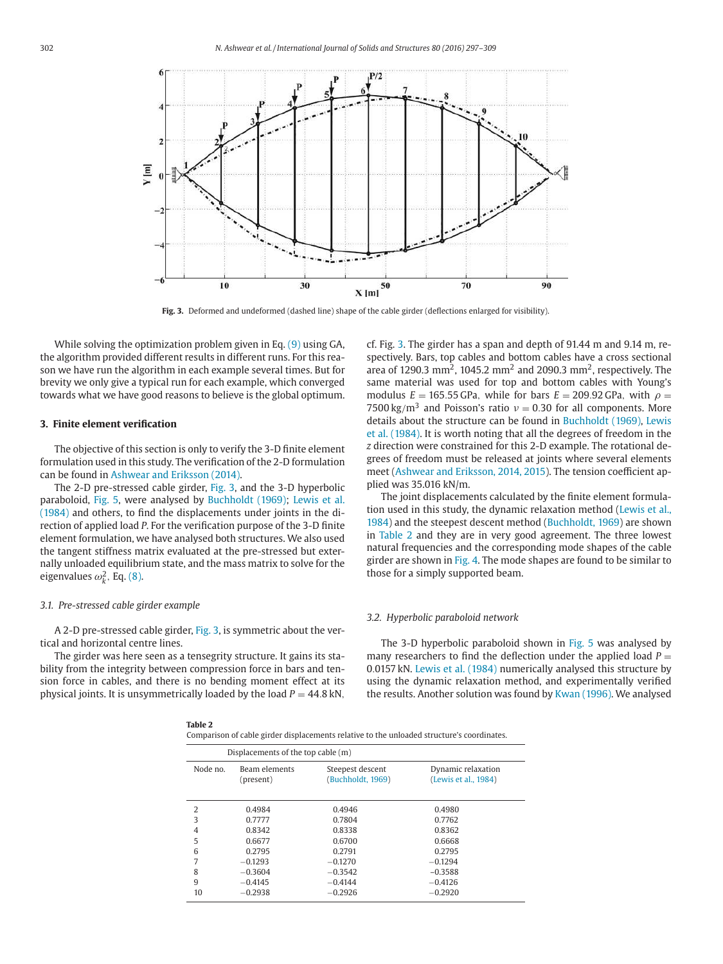

**Fig. 3.** Deformed and undeformed (dashed line) shape of the cable girder (deflections enlarged for visibility).

While solving the optimization problem given in Eq. (9) using GA, the algorithm provided different results in different runs. For this reason we have run the algorithm in each example several times. But for brevity we only give a typical run for each example, which converged towards what we have good reasons to believe is the global optimum.

## **3. Finite element verification**

The objective of this section is only to verify the 3-D finite element formulation used in this study. The verification of the 2-D formulation can be found in Ashwear and Eriksson (2014).

The 2-D pre-stressed cable girder, Fig. 3, and the 3-D hyperbolic paraboloid, Fig. 5, were analysed by Buchholdt (1969); Lewis et al. (1984) and others, to find the displacements under joints in the direction of applied load *P*. For the verification purpose of the 3-D finite element formulation, we have analysed both structures. We also used the tangent stiffness matrix evaluated at the pre-stressed but externally unloaded equilibrium state, and the mass matrix to solve for the eigenvalues  $\omega_k^2$ , Eq. (8).

#### *3.1. Pre-stressed cable girder example*

A 2-D pre-stressed cable girder, Fig. 3, is symmetric about the vertical and horizontal centre lines.

The girder was here seen as a tensegrity structure. It gains its stability from the integrity between compression force in bars and tension force in cables, and there is no bending moment effect at its physical joints. It is unsymmetrically loaded by the load  $P = 44.8$  kN,

cf. Fig. 3. The girder has a span and depth of 91.44 m and 9.14 m, respectively. Bars, top cables and bottom cables have a cross sectional area of 1290.3 mm<sup>2</sup>, 1045.2 mm<sup>2</sup> and 2090.3 mm<sup>2</sup>, respectively. The same material was used for top and bottom cables with Young's modulus  $E = 165.55$  GPa, while for bars  $E = 209.92$  GPa, with  $\rho =$ 7500 kg/m<sup>3</sup> and Poisson's ratio  $v = 0.30$  for all components. More details about the structure can be found in Buchholdt (1969), Lewis et al. (1984). It is worth noting that all the degrees of freedom in the *z* direction were constrained for this 2-D example. The rotational degrees of freedom must be released at joints where several elements meet (Ashwear and Eriksson, 2014, 2015). The tension coefficient applied was 35.016 kN/m.

The joint displacements calculated by the finite element formulation used in this study, the dynamic relaxation method (Lewis et al., 1984) and the steepest descent method (Buchholdt, 1969) are shown in Table 2 and they are in very good agreement. The three lowest natural frequencies and the corresponding mode shapes of the cable girder are shown in Fig. 4. The mode shapes are found to be similar to those for a simply supported beam.

#### *3.2. Hyperbolic paraboloid network*

The 3-D hyperbolic paraboloid shown in Fig. 5 was analysed by many researchers to find the deflection under the applied load  $P =$ 0.0157 kN. Lewis et al. (1984) numerically analysed this structure by using the dynamic relaxation method, and experimentally verified the results. Another solution was found by Kwan (1996). We analysed

| 1<br>.,<br>×<br>۰.<br>۹ |  |
|-------------------------|--|
|-------------------------|--|

Comparison of cable girder displacements relative to the unloaded structure's coordinates.

|               | Displacements of the top cable (m) |                                       |                                            |
|---------------|------------------------------------|---------------------------------------|--------------------------------------------|
| Node no.      | Beam elements<br>(present)         | Steepest descent<br>(Buchholdt, 1969) | Dynamic relaxation<br>(Lewis et al., 1984) |
| $\mathcal{D}$ | 0.4984                             | 0.4946                                | 0.4980                                     |
| 3             | 0.7777                             | 0.7804                                | 0.7762                                     |
| 4             | 0.8342                             | 0.8338                                | 0.8362                                     |
| 5             | 0.6677                             | 0.6700                                | 0.6668                                     |
| 6             | 0.2795                             | 0.2791                                | 0.2795                                     |
| 7             | $-0.1293$                          | $-0.1270$                             | $-0.1294$                                  |
| 8             | $-0.3604$                          | $-0.3542$                             | $-0.3588$                                  |
| 9             | $-0.4145$                          | $-0.4144$                             | $-0.4126$                                  |
| 10            | $-0.2938$                          | $-0.2926$                             | $-0.2920$                                  |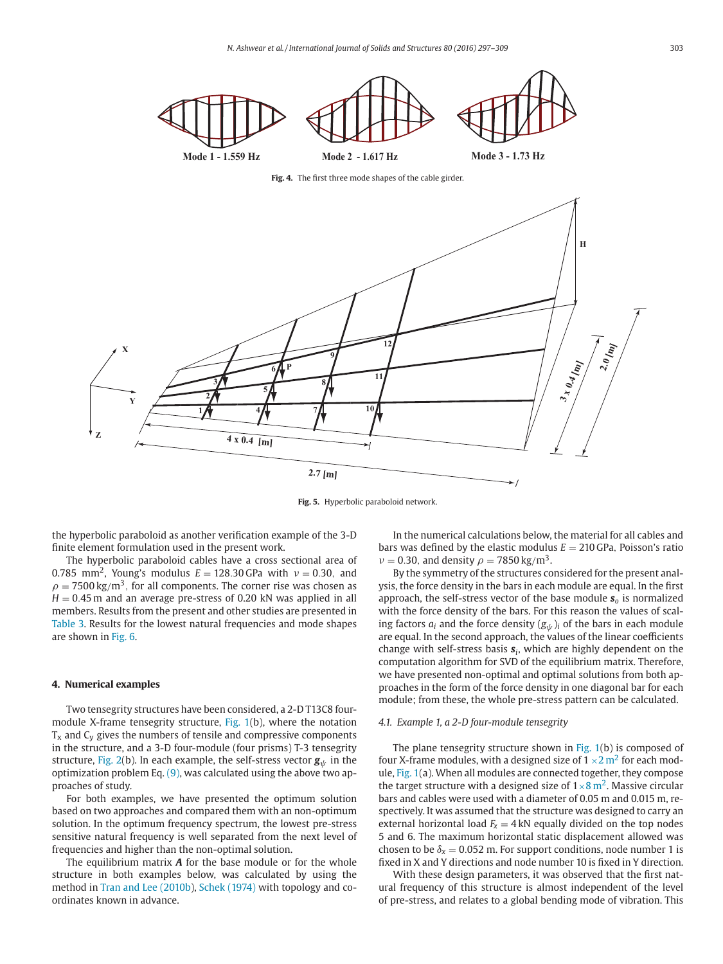

**Fig. 5.** Hyperbolic paraboloid network.

the hyperbolic paraboloid as another verification example of the 3-D finite element formulation used in the present work.

The hyperbolic paraboloid cables have a cross sectional area of 0.785 mm<sup>2</sup>, Young's modulus  $E = 128.30$  GPa with  $v = 0.30$ , and  $\rho = 7500 \, \text{kg}/\text{m}^3$ , for all components. The corner rise was chosen as  $H = 0.45$  m and an average pre-stress of 0.20 kN was applied in all members. Results from the present and other studies are presented in Table 3. Results for the lowest natural frequencies and mode shapes are shown in Fig. 6.

#### **4. Numerical examples**

**Z**

Two tensegrity structures have been considered, a 2-D T13C8 fourmodule X-frame tensegrity structure, Fig. 1(b), where the notation  $T<sub>x</sub>$  and  $C<sub>y</sub>$  gives the numbers of tensile and compressive components in the structure, and a 3-D four-module (four prisms) T-3 tensegrity structure, Fig. 2(b). In each example, the self-stress vector  $\mathbf{g}_{\psi}$  in the optimization problem Eq.  $(9)$ , was calculated using the above two approaches of study.

For both examples, we have presented the optimum solution based on two approaches and compared them with an non-optimum solution. In the optimum frequency spectrum, the lowest pre-stress sensitive natural frequency is well separated from the next level of frequencies and higher than the non-optimal solution.

The equilibrium matrix *A* for the base module or for the whole structure in both examples below, was calculated by using the method in Tran and Lee (2010b), Schek (1974) with topology and coordinates known in advance.

In the numerical calculations below, the material for all cables and bars was defined by the elastic modulus  $E = 210$  GPa, Poisson's ratio  $v = 0.30$ , and density  $\rho = 7850 \,\mathrm{kg/m^3}$ .

By the symmetry of the structures considered for the present analysis, the force density in the bars in each module are equal. In the first approach, the self-stress vector of the base module *s<sup>o</sup>* is normalized with the force density of the bars. For this reason the values of scaling factors  $a_i$  and the force density  $(g_{\psi})_i$  of the bars in each module are equal. In the second approach, the values of the linear coefficients change with self-stress basis *s<sup>i</sup>* , which are highly dependent on the computation algorithm for SVD of the equilibrium matrix. Therefore, we have presented non-optimal and optimal solutions from both approaches in the form of the force density in one diagonal bar for each module; from these, the whole pre-stress pattern can be calculated.

## *4.1. Example 1, a 2-D four-module tensegrity*

The plane tensegrity structure shown in Fig. 1(b) is composed of four X-frame modules, with a designed size of  $1 \times 2$  m<sup>2</sup> for each module, Fig. 1(a). When all modules are connected together, they compose the target structure with a designed size of  $1\times 8$  m<sup>2</sup>. Massive circular bars and cables were used with a diameter of 0.05 m and 0.015 m, respectively. It was assumed that the structure was designed to carry an external horizontal load  $F_x = 4$  kN equally divided on the top nodes 5 and 6. The maximum horizontal static displacement allowed was chosen to be  $\delta$ <sub>x</sub> = 0.052 m. For support conditions, node number 1 is fixed in X and Y directions and node number 10 is fixed in Y direction.

With these design parameters, it was observed that the first natural frequency of this structure is almost independent of the level of pre-stress, and relates to a global bending mode of vibration. This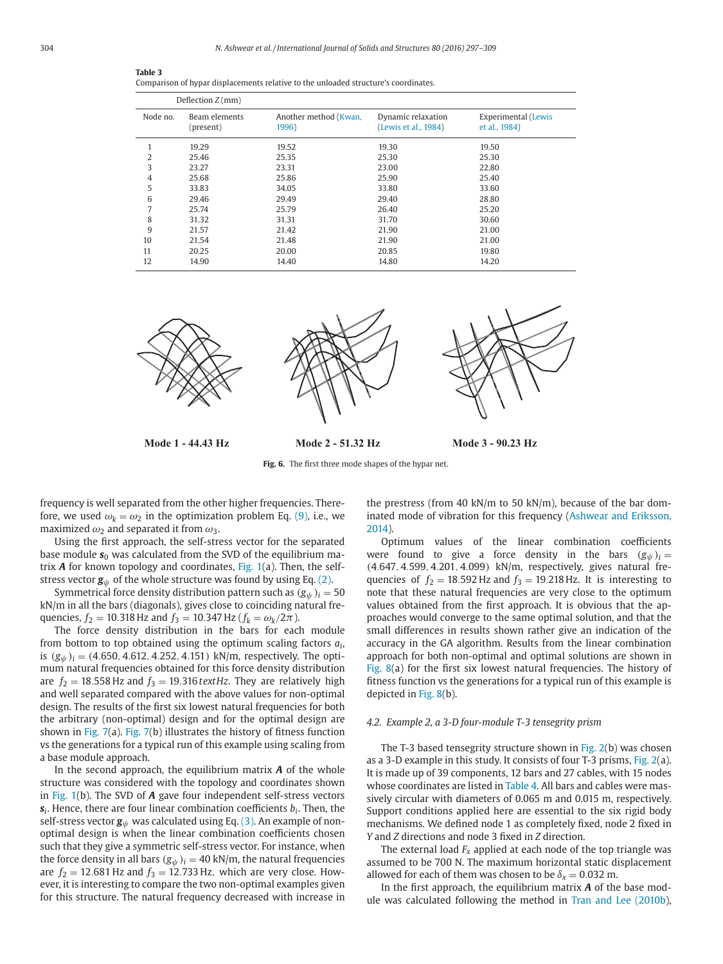|          | Deflection $Z$ (mm)        |                                |                                            |                                      |
|----------|----------------------------|--------------------------------|--------------------------------------------|--------------------------------------|
| Node no. | Beam elements<br>(present) | Another method (Kwan,<br>1996) | Dynamic relaxation<br>(Lewis et al., 1984) | Experimental (Lewis<br>et al., 1984) |
|          | 19.29                      | 19.52                          | 19.30                                      | 19.50                                |
| 2        | 25.46                      | 25.35                          | 25.30                                      | 25.30                                |
| 3        | 23.27                      | 23.31                          | 23.00                                      | 22.80                                |
| 4        | 25.68                      | 25.86                          | 25.90                                      | 25.40                                |
| 5        | 33.83                      | 34.05                          | 33.80                                      | 33.60                                |
| 6        | 29.46                      | 29.49                          | 29.40                                      | 28.80                                |
|          | 25.74                      | 25.79                          | 26.40                                      | 25.20                                |
| 8        | 31.32                      | 31.31                          | 31.70                                      | 30.60                                |
| 9        | 21.57                      | 21.42                          | 21.90                                      | 21.00                                |
| 10       | 21.54                      | 21.48                          | 21.90                                      | 21.00                                |
| 11       | 20.25                      | 20.00                          | 20.85                                      | 19.80                                |
| 12       | 14.90                      | 14.40                          | 14.80                                      | 14.20                                |

| Comparison of hypar displacements relative to the unloaded structure's coordinates. |  |  |  |
|-------------------------------------------------------------------------------------|--|--|--|
|                                                                                     |  |  |  |



**Fig. 6.** The first three mode shapes of the hypar net.

frequency is well separated from the other higher frequencies. Therefore, we used  $\omega_k = \omega_2$  in the optimization problem Eq. (9), i.e., we maximized  $\omega_2$  and separated it from  $\omega_3$ .

Using the first approach, the self-stress vector for the separated base module  $s_0$  was calculated from the SVD of the equilibrium matrix *A* for known topology and coordinates, Fig. 1(a). Then, the selfstress vector  $g_{\psi}$  of the whole structure was found by using Eq. (2).

Symmetrical force density distribution pattern such as  $(g_{\psi})_i = 50$ kN/m in all the bars (diagonals), gives close to coinciding natural frequencies,  $f_2 = 10.318$  Hz and  $f_3 = 10.347$  Hz ( $f_k = \omega_k / 2\pi$ ).

The force density distribution in the bars for each module from bottom to top obtained using the optimum scaling factors *a<sup>i</sup>* , is  $(g_{\psi})_i = (4.650, 4.612, 4.252, 4.151)$  kN/m, respectively. The optimum natural frequencies obtained for this force density distribution are  $f_2 = 18.558$  Hz and  $f_3 = 19.316$  text Hz. They are relatively high and well separated compared with the above values for non-optimal design. The results of the first six lowest natural frequencies for both the arbitrary (non-optimal) design and for the optimal design are shown in Fig. 7(a). Fig. 7(b) illustrates the history of fitness function vs the generations for a typical run of this example using scaling from a base module approach.

In the second approach, the equilibrium matrix *A* of the whole structure was considered with the topology and coordinates shown in Fig. 1(b). The SVD of *A* gave four independent self-stress vectors *si* . Hence, there are four linear combination coefficients *b<sup>i</sup>* . Then, the self-stress vector  $g_{\psi}$  was calculated using Eq. (3). An example of nonoptimal design is when the linear combination coefficients chosen such that they give a symmetric self-stress vector. For instance, when the force density in all bars  $(g_{\psi})_i = 40$  kN/m, the natural frequencies are  $f_2 = 12.681$  Hz and  $f_3 = 12.733$  Hz, which are very close. However, it is interesting to compare the two non-optimal examples given for this structure. The natural frequency decreased with increase in the prestress (from 40 kN/m to 50 kN/m), because of the bar dominated mode of vibration for this frequency (Ashwear and Eriksson, 2014).

Optimum values of the linear combination coefficients were found to give a force density in the bars  $(g_{\psi})_i =$ (4.647, 4.599, 4.201, 4.099) kN/m, respectively, gives natural frequencies of  $f_2 = 18.592$  Hz and  $f_3 = 19.218$  Hz. It is interesting to note that these natural frequencies are very close to the optimum values obtained from the first approach. It is obvious that the approaches would converge to the same optimal solution, and that the small differences in results shown rather give an indication of the accuracy in the GA algorithm. Results from the linear combination approach for both non-optimal and optimal solutions are shown in Fig. 8(a) for the first six lowest natural frequencies. The history of fitness function vs the generations for a typical run of this example is depicted in Fig. 8(b).

## *4.2. Example 2, a 3-D four-module T-3 tensegrity prism*

The T-3 based tensegrity structure shown in Fig. 2(b) was chosen as a 3-D example in this study. It consists of four T-3 prisms, Fig. 2(a). It is made up of 39 components, 12 bars and 27 cables, with 15 nodes whose coordinates are listed in Table 4. All bars and cables were massively circular with diameters of 0.065 m and 0.015 m, respectively. Support conditions applied here are essential to the six rigid body mechanisms. We defined node 1 as completely fixed, node 2 fixed in *Y* and *Z* directions and node 3 fixed in *Z* direction.

The external load  $F_x$  applied at each node of the top triangle was assumed to be 700 N. The maximum horizontal static displacement allowed for each of them was chosen to be  $\delta_{x} = 0.032$  m.

In the first approach, the equilibrium matrix *A* of the base module was calculated following the method in Tran and Lee (2010b),

**Table 3**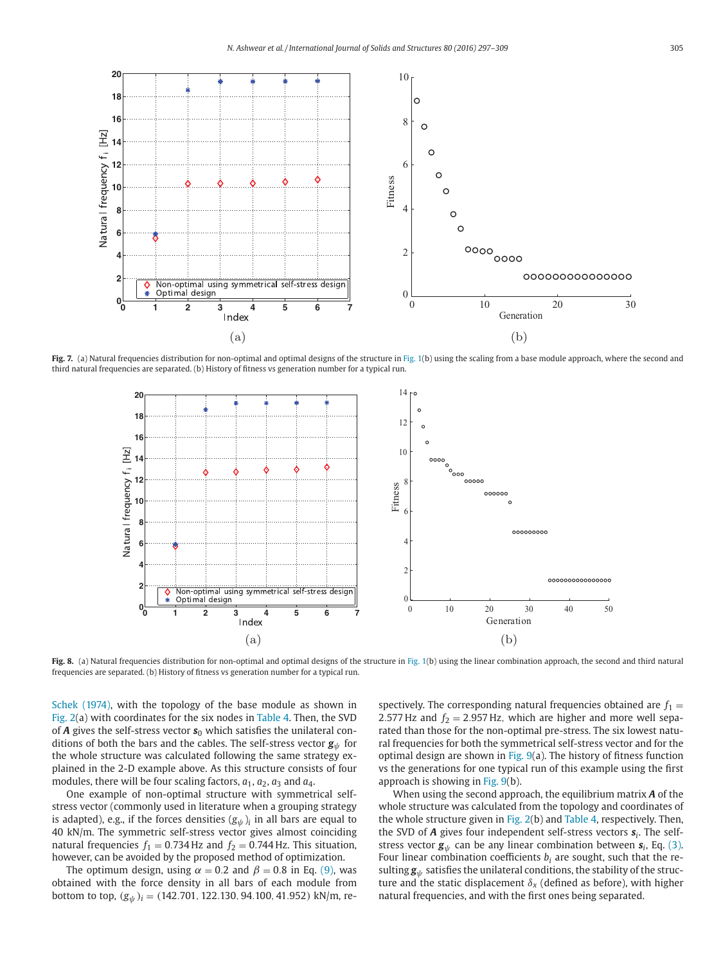

Fig. 7. (a) Natural frequencies distribution for non-optimal and optimal designs of the structure in Fig. 1(b) using the scaling from a base module approach, where the second and third natural frequencies are separated. (b) History of fitness vs generation number for a typical run.



Fig. 8. (a) Natural frequencies distribution for non-optimal and optimal designs of the structure in Fig. 1(b) using the linear combination approach, the second and third natural frequencies are separated. (b) History of fitness vs generation number for a typical run.

Schek (1974), with the topology of the base module as shown in Fig. 2(a) with coordinates for the six nodes in Table 4. Then, the SVD of  $A$  gives the self-stress vector  $s_0$  which satisfies the unilateral conditions of both the bars and the cables. The self-stress vector  $g_{\psi}$  for the whole structure was calculated following the same strategy explained in the 2-D example above. As this structure consists of four modules, there will be four scaling factors,  $a_1$ ,  $a_2$ ,  $a_3$  and  $a_4$ .

One example of non-optimal structure with symmetrical selfstress vector (commonly used in literature when a grouping strategy is adapted), e.g., if the forces densities  $({\boldsymbol{\mathcal{g}}}_{\psi})_i$  in all bars are equal to 40 kN/m. The symmetric self-stress vector gives almost coinciding natural frequencies  $f_1 = 0.734$  Hz and  $f_2 = 0.744$  Hz. This situation, however, can be avoided by the proposed method of optimization.

The optimum design, using  $\alpha = 0.2$  and  $\beta = 0.8$  in Eq. (9), was obtained with the force density in all bars of each module from bottom to top, (*g*<sup>ψ</sup> )*<sup>i</sup>* = (142.701, 122.130, 94.100, 41.952) kN/m, respectively. The corresponding natural frequencies obtained are  $f_1 =$ 2.577 Hz and  $f_2 = 2.957$  Hz, which are higher and more well separated than those for the non-optimal pre-stress. The six lowest natural frequencies for both the symmetrical self-stress vector and for the optimal design are shown in Fig. 9(a). The history of fitness function vs the generations for one typical run of this example using the first approach is showing in Fig. 9(b).

When using the second approach, the equilibrium matrix *A* of the whole structure was calculated from the topology and coordinates of the whole structure given in Fig. 2(b) and Table 4, respectively. Then, the SVD of *A* gives four independent self-stress vectors *s<sup>i</sup>* . The selfstress vector  $\mathbf{g}_{\psi}$  can be any linear combination between  $\mathbf{s}_i$ , Eq. (3). Four linear combination coefficients  $b_i$  are sought, such that the resulting  $g_{\psi}$  satisfies the unilateral conditions, the stability of the structure and the static displacement  $\delta_{x}$  (defined as before), with higher natural frequencies, and with the first ones being separated.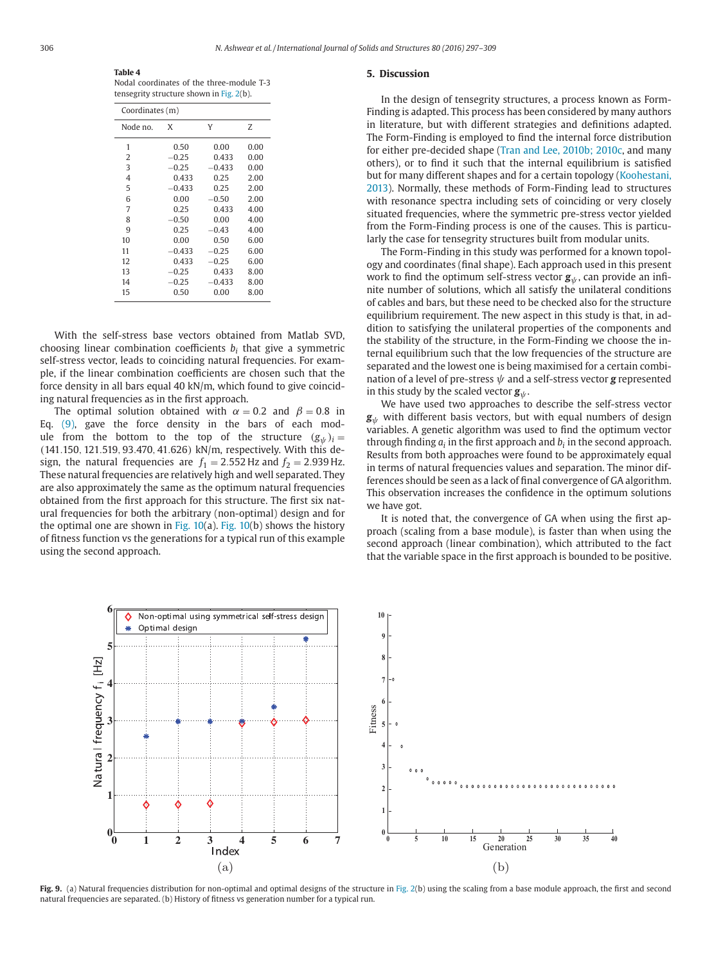**Table 4** Nodal coordinates of the three-module T-3 tensegrity structure shown in Fig. 2(b).

| Coordinates (m) |          |          |      |  |  |  |  |  |
|-----------------|----------|----------|------|--|--|--|--|--|
| Node no.        | X        | Υ        | Z    |  |  |  |  |  |
| 1               | 0.50     | 0.00     | 0.00 |  |  |  |  |  |
| 2               | $-0.25$  | 0.433    | 0.00 |  |  |  |  |  |
| 3               | $-0.25$  | $-0.433$ | 0.00 |  |  |  |  |  |
| $\overline{4}$  | 0.433    | 0.25     | 2.00 |  |  |  |  |  |
| 5               | $-0.433$ | 0.25     | 2.00 |  |  |  |  |  |
| 6               | 0.00     | $-0.50$  | 2.00 |  |  |  |  |  |
| 7               | 0.25     | 0.433    | 4.00 |  |  |  |  |  |
| 8               | $-0.50$  | 0.00     | 4.00 |  |  |  |  |  |
| 9               | 0.25     | $-0.43$  | 4.00 |  |  |  |  |  |
| 10              | 0.00     | 0.50     | 6.00 |  |  |  |  |  |
| 11              | $-0.433$ | $-0.25$  | 6.00 |  |  |  |  |  |
| 12              | 0.433    | $-0.25$  | 6.00 |  |  |  |  |  |
| 13              | $-0.25$  | 0.433    | 8.00 |  |  |  |  |  |
| 14              | $-0.25$  | $-0.433$ | 8.00 |  |  |  |  |  |
| 15              | 0.50     | 0.00     | 8.00 |  |  |  |  |  |

With the self-stress base vectors obtained from Matlab SVD, choosing linear combination coefficients *b<sup>i</sup>* that give a symmetric self-stress vector, leads to coinciding natural frequencies. For example, if the linear combination coefficients are chosen such that the force density in all bars equal 40 kN/m, which found to give coinciding natural frequencies as in the first approach.

The optimal solution obtained with  $\alpha = 0.2$  and  $\beta = 0.8$  in Eq. (9), gave the force density in the bars of each module from the bottom to the top of the structure  $(g_{\psi})_i =$ (141.150, 121.519, 93.470, 41.626) kN/m, respectively. With this design, the natural frequencies are  $f_1 = 2.552$  Hz and  $f_2 = 2.939$  Hz. These natural frequencies are relatively high and well separated. They are also approximately the same as the optimum natural frequencies obtained from the first approach for this structure. The first six natural frequencies for both the arbitrary (non-optimal) design and for the optimal one are shown in Fig.  $10(a)$ . Fig.  $10(b)$  shows the history of fitness function vs the generations for a typical run of this example using the second approach.

## **5. Discussion**

In the design of tensegrity structures, a process known as Form-Finding is adapted. This process has been considered by many authors in literature, but with different strategies and definitions adapted. The Form-Finding is employed to find the internal force distribution for either pre-decided shape (Tran and Lee, 2010b; 2010c, and many others), or to find it such that the internal equilibrium is satisfied but for many different shapes and for a certain topology (Koohestani, 2013). Normally, these methods of Form-Finding lead to structures with resonance spectra including sets of coinciding or very closely situated frequencies, where the symmetric pre-stress vector yielded from the Form-Finding process is one of the causes. This is particularly the case for tensegrity structures built from modular units.

The Form-Finding in this study was performed for a known topology and coordinates (final shape). Each approach used in this present work to find the optimum self-stress vector  $g_{\psi}$ , can provide an infinite number of solutions, which all satisfy the unilateral conditions of cables and bars, but these need to be checked also for the structure equilibrium requirement. The new aspect in this study is that, in addition to satisfying the unilateral properties of the components and the stability of the structure, in the Form-Finding we choose the internal equilibrium such that the low frequencies of the structure are separated and the lowest one is being maximised for a certain combination of a level of pre-stress ψ and a self-stress vector *g* represented in this study by the scaled vector  $g_{\psi}$ .

We have used two approaches to describe the self-stress vector *g*ψ with different basis vectors, but with equal numbers of design variables. A genetic algorithm was used to find the optimum vector through finding  $a_i$  in the first approach and  $b_i$  in the second approach. Results from both approaches were found to be approximately equal in terms of natural frequencies values and separation. The minor differences should be seen as a lack of final convergence of GA algorithm. This observation increases the confidence in the optimum solutions we have got.

It is noted that, the convergence of GA when using the first approach (scaling from a base module), is faster than when using the second approach (linear combination), which attributed to the fact that the variable space in the first approach is bounded to be positive.



**Fig. 9.** (a) Natural frequencies distribution for non-optimal and optimal designs of the structure in Fig. 2(b) using the scaling from a base module approach, the first and second natural frequencies are separated. (b) History of fitness vs generation number for a typical run.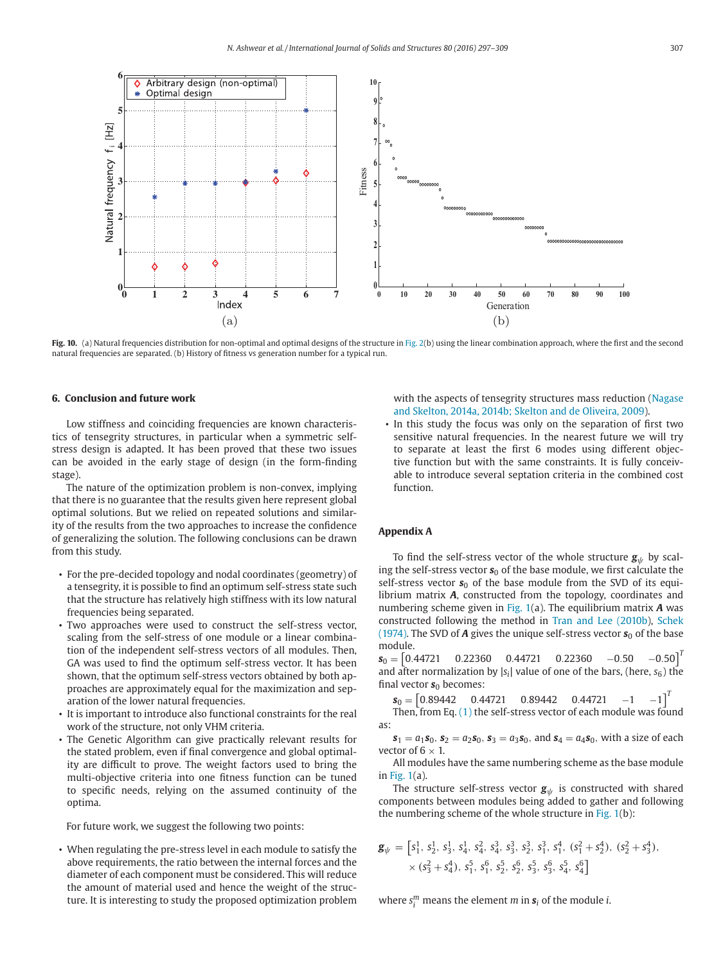

Fig. 10. (a) Natural frequencies distribution for non-optimal and optimal designs of the structure in Fig. 2(b) using the linear combination approach, where the first and the second natural frequencies are separated. (b) History of fitness vs generation number for a typical run.

## **6. Conclusion and future work**

Low stiffness and coinciding frequencies are known characteristics of tensegrity structures, in particular when a symmetric selfstress design is adapted. It has been proved that these two issues can be avoided in the early stage of design (in the form-finding stage).

The nature of the optimization problem is non-convex, implying that there is no guarantee that the results given here represent global optimal solutions. But we relied on repeated solutions and similarity of the results from the two approaches to increase the confidence of generalizing the solution. The following conclusions can be drawn from this study.

- For the pre-decided topology and nodal coordinates (geometry) of a tensegrity, it is possible to find an optimum self-stress state such that the structure has relatively high stiffness with its low natural frequencies being separated.
- Two approaches were used to construct the self-stress vector, scaling from the self-stress of one module or a linear combination of the independent self-stress vectors of all modules. Then, GA was used to find the optimum self-stress vector. It has been shown, that the optimum self-stress vectors obtained by both approaches are approximately equal for the maximization and separation of the lower natural frequencies.
- It is important to introduce also functional constraints for the real work of the structure, not only VHM criteria.
- The Genetic Algorithm can give practically relevant results for the stated problem, even if final convergence and global optimality are difficult to prove. The weight factors used to bring the multi-objective criteria into one fitness function can be tuned to specific needs, relying on the assumed continuity of the optima.

For future work, we suggest the following two points:

• When regulating the pre-stress level in each module to satisfy the above requirements, the ratio between the internal forces and the diameter of each component must be considered. This will reduce the amount of material used and hence the weight of the structure. It is interesting to study the proposed optimization problem

with the aspects of tensegrity structures mass reduction (Nagase and Skelton, 2014a, 2014b; Skelton and de Oliveira, 2009).

• In this study the focus was only on the separation of first two sensitive natural frequencies. In the nearest future we will try to separate at least the first 6 modes using different objective function but with the same constraints. It is fully conceivable to introduce several septation criteria in the combined cost function.

#### **Appendix A**

To find the self-stress vector of the whole structure  $g_{\psi}$  by scaling the self-stress vector  $s_0$  of the base module, we first calculate the self-stress vector  $s_0$  of the base module from the SVD of its equilibrium matrix *A*, constructed from the topology, coordinates and numbering scheme given in Fig. 1(a). The equilibrium matrix *A* was constructed following the method in Tran and Lee (2010b), Schek (1974). The SVD of  $A$  gives the unique self-stress vector  $s_0$  of the base module.

 $s_0 = \begin{bmatrix} 0.44721 & 0.22360 & 0.44721 & 0.22360 & -0.50 & -0.50 \end{bmatrix}^T$ and after normalization by  $|s_i|$  value of one of the bars, (here,  $s_6$ ) the final vector  $s_0$  becomes:

$$
\mathbf{s}_0 = \begin{bmatrix} 0.89442 & 0.44721 & 0.89442 & 0.44721 & -1 & -1 \end{bmatrix}^T
$$

Then, from Eq. (1) the self-stress vector of each module was found as:

 $s_1 = a_1 s_0$ ,  $s_2 = a_2 s_0$ ,  $s_3 = a_3 s_0$ , and  $s_4 = a_4 s_0$ , with a size of each vector of  $6 \times 1$ .

All modules have the same numbering scheme as the base module in Fig. 1(a).

The structure self-stress vector  $g_{\psi}$  is constructed with shared components between modules being added to gather and following the numbering scheme of the whole structure in Fig. 1(b):

$$
\mathbf{g}_{\psi} = \begin{bmatrix} s_1^1, s_2^1, s_3^1, s_4^1, s_4^2, s_4^3, s_3^3, s_2^3, s_1^3, s_1^4, (s_1^2 + s_2^4), (s_2^2 + s_3^4), \\ \times (s_3^2 + s_4^4), s_1^5, s_1^6, s_2^5, s_2^6, s_3^5, s_3^6, s_4^5, s_4^6 \end{bmatrix}
$$

where  $s_i^m$  means the element  $m$  in  $s_i$  of the module *i*.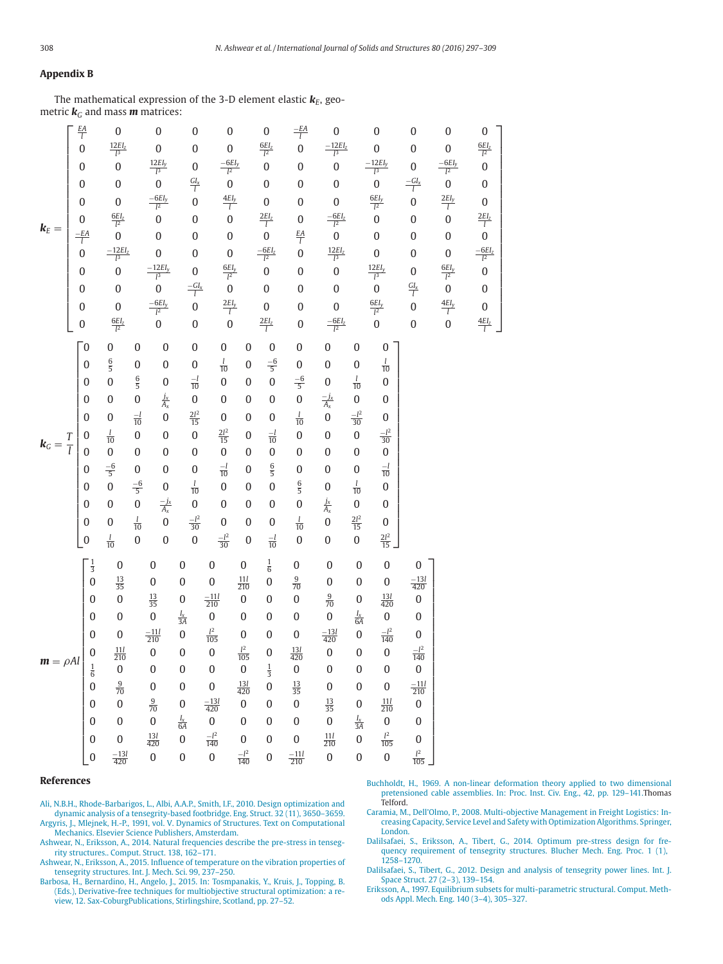## **Appendix B**

The mathematical expression of the 3-D element elastic  $\boldsymbol{k}_{\!E}$ , geometric  $\mathbf{k}_G$  and mass **m** matrices:

|                     | $\frac{EA}{l}$                 | $\boldsymbol{0}$          |                  | $\boldsymbol{0}$          | $\boldsymbol{0}$    | $\boldsymbol{0}$     |                    | $\boldsymbol{0}$               | $\frac{-EA}{l}$   | $\boldsymbol{0}$          |                   | $\boldsymbol{0}$      | $\boldsymbol{0}$          | $\boldsymbol{0}$     | $\boldsymbol{0}$        |
|---------------------|--------------------------------|---------------------------|------------------|---------------------------|---------------------|----------------------|--------------------|--------------------------------|-------------------|---------------------------|-------------------|-----------------------|---------------------------|----------------------|-------------------------|
|                     | $\overline{0}$                 | $\frac{12EI_{z}}{l^{3}}$  |                  | $\boldsymbol{0}$          | $\boldsymbol{0}$    | $\boldsymbol{0}$     |                    | $\frac{6EI_{z}}{l^{2}}$        | $\overline{0}$    | $\frac{-12EI_{z}}{l^{3}}$ |                   | $\boldsymbol{0}$      | $\boldsymbol{0}$          | $\boldsymbol{0}$     | $\frac{6EI_{z}}{l^{2}}$ |
|                     | $\boldsymbol{0}$               | $\boldsymbol{0}$          |                  | $\frac{12EI_y}{l^3}$      | $\boldsymbol{0}$    | $\frac{-6EI_y}{l^2}$ |                    | $\overline{0}$                 | $\boldsymbol{0}$  | $\boldsymbol{0}$          |                   | $\frac{-12EI_y}{l^3}$ | $\boldsymbol{0}$          | $\frac{-6EI_y}{l^2}$ | $\boldsymbol{0}$        |
|                     | $\boldsymbol{0}$               | $\boldsymbol{0}$          |                  | $\mathbf{0}$              | $\frac{GI_{x}}{l}$  | $\mathbf{0}$         |                    | $\boldsymbol{0}$               | $\boldsymbol{0}$  | $\boldsymbol{0}$          |                   | $\mathbf{0}$          | $\frac{-GI_{x}}{l}$       | $\boldsymbol{0}$     | $\boldsymbol{0}$        |
|                     | $\boldsymbol{0}$               | $\boldsymbol{0}$          |                  | $\frac{-6EI_y}{l^2}$      | $\overline{0}$      | $\frac{4EI_y}{l}$    |                    | $\boldsymbol{0}$               | $\boldsymbol{0}$  | $\boldsymbol{0}$          |                   | $\frac{6EI_y}{l^2}$   | $\overline{0}$            | $\frac{2EI_y}{l}$    | $\boldsymbol{0}$        |
| $k_E =$             | $\boldsymbol{0}$               | $\frac{6EI_z}{l^2}$       |                  | $\overline{0}$            | 0                   | $\overline{0}$       |                    | $\frac{2EI_z}{l}$              | $\boldsymbol{0}$  | $\frac{-6EI_z}{l^2}$      |                   | $\overline{0}$        | $\boldsymbol{0}$          | $\mathbf{0}$         | $\frac{2EI_z}{l}$       |
|                     | $\frac{-EA}{l}$                | $\overline{0}$            |                  | $\boldsymbol{0}$          | $\boldsymbol{0}$    | $\boldsymbol{0}$     |                    | $\overline{0}$                 | $rac{EA}{l}$      | $\overline{0}$            |                   | $\boldsymbol{0}$      | $\boldsymbol{0}$          | $\boldsymbol{0}$     | $\boldsymbol{0}$        |
|                     | $\overline{0}$                 | $\frac{-12EI_{z}}{l^{3}}$ |                  | $\boldsymbol{0}$          | $\boldsymbol{0}$    | $\boldsymbol{0}$     |                    | $\frac{-6EI_z}{l^2}$           | $\overline{0}$    | $\frac{12EI_{z}}{l^{3}}$  |                   | $\boldsymbol{0}$      | $\boldsymbol{0}$          | $\boldsymbol{0}$     | $\frac{-6EI_2}{l^2}$    |
|                     | $\boldsymbol{0}$               | $\mathbf{0}$              |                  | $\frac{-12EI_{y}}{l^{3}}$ | $\boldsymbol{0}$    | $\frac{6EI_y}{l^2}$  |                    | $\overline{0}$                 | $\mathbf 0$       | $\boldsymbol{0}$          |                   | $\frac{12EI_y}{l^3}$  | $\boldsymbol{0}$          | $\frac{6EI_y}{l^2}$  | $\mathbf{0}$            |
|                     | $\boldsymbol{0}$               | $\boldsymbol{0}$          |                  | $\mathbf{0}$              | $\frac{-GI_{x}}{l}$ | $\overline{0}$       |                    | $\boldsymbol{0}$               | $\mathbf 0$       | $\mathbf 0$               |                   | $\mathbf{0}$          | $\frac{GI_{x}}{l}$        | $\mathbf{0}$         | $\boldsymbol{0}$        |
|                     | $\boldsymbol{0}$               | $\boldsymbol{0}$          |                  | $\frac{-6EI_y}{l^2}$      | $\overline{0}$      | $\frac{2EI_{y}}{l}$  |                    | $\boldsymbol{0}$               | $\mathbf 0$       | $\boldsymbol{0}$          |                   | $\frac{6EI_y}{l^2}$   | $\overline{0}$            | $\frac{4EI_y}{l}$    | $\boldsymbol{0}$        |
|                     | $\boldsymbol{0}$               | $\frac{6EI_{z}}{l^{2}}$   |                  | $\overline{0}$            | $\boldsymbol{0}$    | $\overline{0}$       |                    | $\frac{2EI_{z}}{l}$            | $\boldsymbol{0}$  | $\frac{-6EI_z}{l^2}$      |                   | $\overline{0}$        | $\boldsymbol{0}$          | $\mathbf{0}$         | $\frac{4EI_z}{l}$       |
|                     | $\overline{0}$                 | $\boldsymbol{0}$          | $\boldsymbol{0}$ | $\boldsymbol{0}$          | $\boldsymbol{0}$    | $\boldsymbol{0}$     | $\boldsymbol{0}$   | $\boldsymbol{0}$               | $\boldsymbol{0}$  | $\boldsymbol{0}$          | $\boldsymbol{0}$  | $\boldsymbol{0}$      |                           |                      |                         |
|                     | $\boldsymbol{0}$               | $\frac{6}{5}$             | $\boldsymbol{0}$ | $\boldsymbol{0}$          | $\boldsymbol{0}$    | $\frac{l}{10}$       | $\boldsymbol{0}$   | $\frac{-6}{5}$                 | $\boldsymbol{0}$  | $\boldsymbol{0}$          | $\boldsymbol{0}$  | $\frac{l}{10}$        |                           |                      |                         |
|                     | $\boldsymbol{0}$               | $\mathbf{0}$              | $\frac{6}{5}$    | $\boldsymbol{0}$          | $\frac{-l}{10}$     | $\boldsymbol{0}$     | $\boldsymbol{0}$   | $\boldsymbol{0}$               | $\frac{-6}{5}$    | $\boldsymbol{0}$          | $\frac{l}{10}$    | $\boldsymbol{0}$      |                           |                      |                         |
|                     | $\boldsymbol{0}$               | $\boldsymbol{0}$          | $\boldsymbol{0}$ | $\frac{j_x}{A_x}$         | $\boldsymbol{0}$    | $\boldsymbol{0}$     | $\boldsymbol{0}$   | $\boldsymbol{0}$               | $\mathbf{0}$      | $\frac{-j_x}{A_x}$        | $\boldsymbol{0}$  | $\boldsymbol{0}$      |                           |                      |                         |
|                     | $\boldsymbol{0}$               | $\boldsymbol{0}$          | $\frac{-l}{10}$  | $\overline{0}$            | $\frac{2l^2}{15}$   | $\boldsymbol{0}$     | 0                  | $\boldsymbol{0}$               | $\frac{l}{10}$    | $\mathbf{0}$              | $\frac{-l^2}{30}$ | $\boldsymbol{0}$      |                           |                      |                         |
| $k_G = \frac{T}{l}$ | $\boldsymbol{0}$               | $\frac{l}{10}$            | $\boldsymbol{0}$ | $\boldsymbol{0}$          | $\boldsymbol{0}$    | $\frac{2l^2}{15}$    | $\boldsymbol{0}$   | $\frac{-l}{10}$                | $\boldsymbol{0}$  | $\mathbf{0}$              | $\boldsymbol{0}$  | $\frac{-l^2}{30}$     |                           |                      |                         |
|                     | $\overline{0}$                 | $\boldsymbol{0}$          | $\boldsymbol{0}$ | $\boldsymbol{0}$          | $\boldsymbol{0}$    | $\boldsymbol{0}$     | $\boldsymbol{0}$   | $\boldsymbol{0}$               | $\boldsymbol{0}$  | $\boldsymbol{0}$          | $\boldsymbol{0}$  | $\boldsymbol{0}$      |                           |                      |                         |
|                     | 0                              | $\frac{-6}{5}$            | $\boldsymbol{0}$ | $\boldsymbol{0}$          | $\boldsymbol{0}$    | $\frac{-l}{10}$      | $\boldsymbol{0}$   | $\frac{6}{5}$                  | $\boldsymbol{0}$  | $\boldsymbol{0}$          | $\boldsymbol{0}$  | $\frac{-l}{10}$       |                           |                      |                         |
|                     | $\boldsymbol{0}$               | $\overline{0}$            | $\frac{-6}{5}$   | $\boldsymbol{0}$          | $\frac{l}{10}$      | $\boldsymbol{0}$     | $\boldsymbol{0}$   | $\boldsymbol{0}$               | $\frac{6}{5}$     | $\boldsymbol{0}$          | $\frac{l}{10}$    | $\boldsymbol{0}$      |                           |                      |                         |
|                     | $\boldsymbol{0}$               | $\boldsymbol{0}$          | $\boldsymbol{0}$ | $\frac{-j_x}{A_x}$        | $\overline{0}$      | $\boldsymbol{0}$     | $\boldsymbol{0}$   | $\boldsymbol{0}$               | $\boldsymbol{0}$  | $\frac{j_x}{A_x}$         | $\boldsymbol{0}$  | $\boldsymbol{0}$      |                           |                      |                         |
|                     | $\boldsymbol{0}$               | $\boldsymbol{0}$          | $\frac{l}{10}$   | $\boldsymbol{0}$          | $\frac{-l^2}{30}$   | $\boldsymbol{0}$     | $\boldsymbol{0}$   | $\boldsymbol{0}$               | $\frac{l}{10}$    | $\boldsymbol{0}$          | $\frac{2l^2}{15}$ | $\mathbf{0}$          |                           |                      |                         |
|                     | $\boldsymbol{0}$               | $\frac{l}{10}$            | $\boldsymbol{0}$ | $\overline{0}$            | $\overline{0}$      | $\frac{-l^2}{30}$    | $\boldsymbol{0}$   | $\frac{-l}{10}$                | $\boldsymbol{0}$  | $\boldsymbol{0}$          | $\boldsymbol{0}$  | $\frac{2l^2}{15}$     |                           |                      |                         |
|                     | $\frac{1}{3}$                  | $\boldsymbol{0}$          |                  | $\boldsymbol{0}$          | $\boldsymbol{0}$    | $\boldsymbol{0}$     | $\boldsymbol{0}$   | $\frac{1}{6}$                  | $\boldsymbol{0}$  | $\boldsymbol{0}$          | $\boldsymbol{0}$  | $\boldsymbol{0}$      | $\boldsymbol{0}$          |                      |                         |
|                     | $\overline{0}$                 | $\frac{13}{35}$           |                  | $\boldsymbol{0}$          | $\boldsymbol{0}$    | $\boldsymbol{0}$     | $\frac{11}{210}$   | $\mathbf{0}$                   | $\frac{9}{70}$    | $\boldsymbol{0}$          | $\boldsymbol{0}$  | $\boldsymbol{0}$      | $\frac{-13l}{420}$        |                      |                         |
|                     | $\boldsymbol{0}$               | $\boldsymbol{0}$          |                  | $\frac{13}{35}$           | $\boldsymbol{0}$    | $\frac{-11}{210}$    | $\overline{0}$     | $\boldsymbol{0}$               | $\boldsymbol{0}$  | $\frac{9}{70}$            | $\boldsymbol{0}$  | $\frac{13l}{420}$     | $\boldsymbol{0}$          |                      |                         |
|                     | $\overline{0}$                 | $\boldsymbol{0}$          |                  | $\boldsymbol{0}$          | $\frac{I_x}{3A}$    | $\boldsymbol{0}$     | $\boldsymbol{0}$   | $\boldsymbol{0}$               | $\boldsymbol{0}$  | $\boldsymbol{0}$          | $\frac{I_x}{6A}$  | $\boldsymbol{0}$      | $\boldsymbol{0}$          |                      |                         |
|                     | $\overline{0}$                 | $\boldsymbol{0}$          |                  | $\frac{-11}{210}$         | $\overline{0}$      | $\frac{l^2}{105}$    | $\boldsymbol{0}$   | $\boldsymbol{0}$               | $\boldsymbol{0}$  | $\frac{-13l}{420}$        | $\boldsymbol{0}$  | $\frac{-l^2}{140}$    | $\boldsymbol{0}$          |                      |                         |
| $m = \rho A l$      | $\overline{0}$                 | $\frac{11}{210}$          |                  | $\boldsymbol{0}$          | $\boldsymbol{0}$    | $\boldsymbol{0}$     | $\frac{l^2}{105}$  | $\boldsymbol{0}$               | $\frac{13}{420}$  | $\boldsymbol{0}$          | $\boldsymbol{0}$  | $\boldsymbol{0}$      | $\frac{-l^2}{140}$        |                      |                         |
|                     | $\mathbf{1}$<br>$\overline{6}$ | $\boldsymbol{0}$          |                  | $\overline{0}$            | $\boldsymbol{0}$    | $\mathbf{0}$         | $\mathbf{0}$       | $\mathbf{1}$<br>$\overline{3}$ | $\boldsymbol{0}$  | 0                         | $\boldsymbol{0}$  | $\boldsymbol{0}$      | $\boldsymbol{0}$          |                      |                         |
|                     | $\boldsymbol{0}$               | $\frac{9}{70}$            |                  | $\boldsymbol{0}$          | $\boldsymbol{0}$    | $\boldsymbol{0}$     | $\frac{13l}{420}$  | $\boldsymbol{0}$               | $\frac{13}{35}$   | $\boldsymbol{0}$          | $\boldsymbol{0}$  | $\boldsymbol{0}$      | $\frac{-11l}{210}$        |                      |                         |
|                     | $\boldsymbol{0}$               | $\boldsymbol{0}$          |                  | $\frac{9}{70}$            | $\boldsymbol{0}$    | $\frac{-13l}{420}$   | $\boldsymbol{0}$   | $\boldsymbol{0}$               | $\boldsymbol{0}$  | $\frac{13}{35}$           | $\boldsymbol{0}$  | $\frac{11}{210}$      | $\boldsymbol{0}$          |                      |                         |
|                     | $\boldsymbol{0}$               | $\boldsymbol{0}$          |                  | $\boldsymbol{0}$          | $\frac{I_x}{6A}$    | $\boldsymbol{0}$     | $\boldsymbol{0}$   | $\boldsymbol{0}$               | $\boldsymbol{0}$  | $\boldsymbol{0}$          | $\frac{I_x}{3A}$  | $\boldsymbol{0}$      | $\boldsymbol{0}$          |                      |                         |
|                     | $\mathbf{0}$                   | $\boldsymbol{0}$          |                  | $\frac{13l}{420}$         | $\boldsymbol{0}$    | $\frac{-l^2}{140}$   | $\boldsymbol{0}$   | $\boldsymbol{0}$               | $\boldsymbol{0}$  | $\frac{11}{210}$          | $\boldsymbol{0}$  | $\frac{l^2}{105}$     | $\boldsymbol{0}$<br>$l^2$ |                      |                         |
|                     | $\boldsymbol{0}$               | $\frac{-13l}{420}$        |                  | $\boldsymbol{0}$          | $\boldsymbol{0}$    | $\boldsymbol{0}$     | $\frac{-l^2}{140}$ | $\boldsymbol{0}$               | $\frac{-11}{210}$ | $\boldsymbol{0}$          | $\boldsymbol{0}$  | $\boldsymbol{0}$      | $\frac{1}{105}$           |                      |                         |

#### **References**

Ali, N.B.H., Rhode-Barbarigos, L., Albi, A.A.P., Smith, I.F., 2010. Design optimization and dynamic analysis of a tensegrity-based footbridge. Eng. Struct. 32 (11), 3650–3659. Argyris, J., Mlejnek, H.-P., 1991, vol. V. Dynamics of Structures. Text on Computational Mechanics. Elsevier Science Publishers, Amsterdam.

Ashwear, N., Eriksson, A., 2014. Natural frequencies describe the pre-stress in tenseg-

rity structures.. Comput. Struct. 138, 162–171. Ashwear, N., Eriksson, A., 2015. Influence of temperature on the vibration properties of

tensegrity structures. Int. J. Mech. Sci. 99, 237–250.

Barbosa, H., Bernardino, H., Angelo, J., 2015. In: Tosmpanakis, Y., Kruis, J., Topping, B. (Eds.), Derivative-free techniques for multiobjective structural optimization: a review, 12. Sax-CoburgPublications, Stirlingshire, Scotland, pp. 27–52.

Buchholdt, H., 1969. A non-linear deformation theory applied to two dimensional pretensioned cable assemblies. In: Proc. Inst. Civ. Eng., 42, pp. 129–141.Thomas Telford.

⎤  $\blacksquare$  $\blacksquare$  $\blacksquare$  $\frac{1}{1}$  $\blacksquare$  $\blacksquare$  $\blacksquare$  $\blacksquare$  $\frac{1}{1}$  $\blacksquare$  $\blacksquare$  $\blacksquare$  $\frac{1}{1}$  $\blacksquare$  $\blacksquare$  $\blacksquare$  $\overline{\phantom{a} \cdot \phantom{a}}$  $\blacksquare$  $\blacksquare$  $\blacksquare$  $\blacksquare$  $\overline{\phantom{a} \cdot \phantom{a}}$  $\blacksquare$ 

- Caramia, M., Dell'Olmo, P., 2008. Multi-objective Management in Freight Logistics: Increasing Capacity, Service Level and Safety with Optimization Algorithms. Springer, London.
- Dalilsafaei, S., Eriksson, A., Tibert, G., 2014. Optimum pre-stress design for frequency requirement of tensegrity structures. Blucher Mech. Eng. Proc. 1 (1), 1258–1270.
- Dalilsafaei, S., Tibert, G., 2012. Design and analysis of tensegrity power lines. Int. J. Space Struct. 27 (2–3), 139–154.

Eriksson, A., 1997. Equilibrium subsets for multi-parametric structural. Comput. Methods Appl. Mech. Eng. 140 (3–4), 305–327.